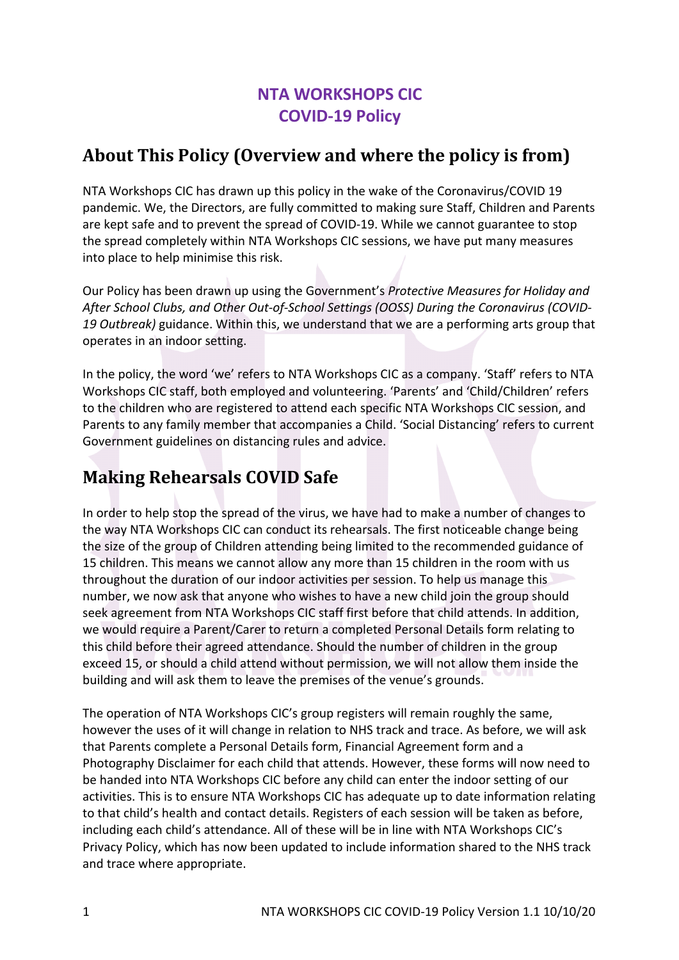## **NTA WORKSHOPS CIC COVID-19 Policy**

#### About This Policy (Overview and where the policy is from)

NTA Workshops CIC has drawn up this policy in the wake of the Coronavirus/COVID 19 pandemic. We, the Directors, are fully committed to making sure Staff, Children and Parents are kept safe and to prevent the spread of COVID-19. While we cannot guarantee to stop the spread completely within NTA Workshops CIC sessions, we have put many measures into place to help minimise this risk.

Our Policy has been drawn up using the Government's *Protective Measures for Holiday and After School Clubs, and Other Out-of-School Settings (OOSS) During the Coronavirus (COVID-19 Outbreak)* guidance. Within this, we understand that we are a performing arts group that operates in an indoor setting.

In the policy, the word 'we' refers to NTA Workshops CIC as a company. 'Staff' refers to NTA Workshops CIC staff, both employed and volunteering. 'Parents' and 'Child/Children' refers to the children who are registered to attend each specific NTA Workshops CIC session, and Parents to any family member that accompanies a Child. 'Social Distancing' refers to current Government guidelines on distancing rules and advice.

# **Making Rehearsals COVID Safe**

In order to help stop the spread of the virus, we have had to make a number of changes to the way NTA Workshops CIC can conduct its rehearsals. The first noticeable change being the size of the group of Children attending being limited to the recommended guidance of 15 children. This means we cannot allow any more than 15 children in the room with us throughout the duration of our indoor activities per session. To help us manage this number, we now ask that anyone who wishes to have a new child join the group should seek agreement from NTA Workshops CIC staff first before that child attends. In addition, we would require a Parent/Carer to return a completed Personal Details form relating to this child before their agreed attendance. Should the number of children in the group exceed 15, or should a child attend without permission, we will not allow them inside the building and will ask them to leave the premises of the venue's grounds.

The operation of NTA Workshops CIC's group registers will remain roughly the same, however the uses of it will change in relation to NHS track and trace. As before, we will ask that Parents complete a Personal Details form, Financial Agreement form and a Photography Disclaimer for each child that attends. However, these forms will now need to be handed into NTA Workshops CIC before any child can enter the indoor setting of our activities. This is to ensure NTA Workshops CIC has adequate up to date information relating to that child's health and contact details. Registers of each session will be taken as before, including each child's attendance. All of these will be in line with NTA Workshops CIC's Privacy Policy, which has now been updated to include information shared to the NHS track and trace where appropriate.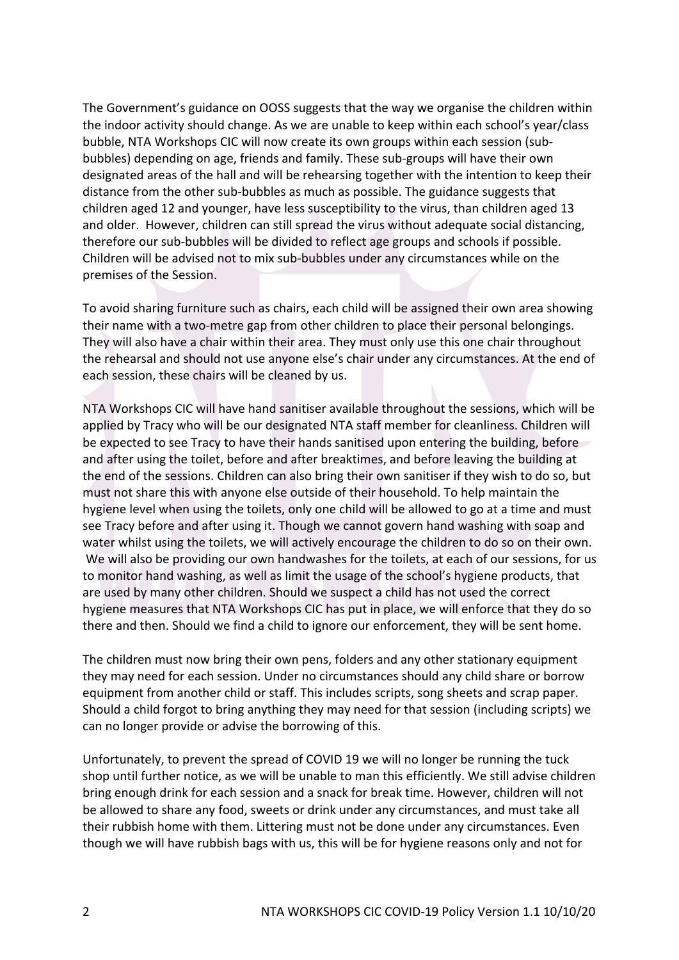The Government's guidance on OOSS suggests that the way we organise the children within the indoor activity should change. As we are unable to keep within each school's year/class bubble, NTA Workshops CIC will now create its own groups within each session (subbubbles) depending on age, friends and family. These sub-groups will have their own designated areas of the hall and will be rehearsing together with the intention to keep their distance from the other sub-bubbles as much as possible. The guidance suggests that children aged 12 and younger, have less susceptibility to the virus, than children aged 13 and older. However, children can still spread the virus without adequate social distancing, therefore our sub-bubbles will be divided to reflect age groups and schools if possible. Children will be advised not to mix sub-bubbles under any circumstances while on the premises of the Session.

To avoid sharing furniture such as chairs, each child will be assigned their own area showing their name with a two-metre gap from other children to place their personal belongings. They will also have a chair within their area. They must only use this one chair throughout the rehearsal and should not use anyone else's chair under any circumstances. At the end of each session, these chairs will be cleaned by us.

NTA Workshops CIC will have hand sanitiser available throughout the sessions, which will be applied by Tracy who will be our designated NTA staff member for cleanliness. Children will be expected to see Tracy to have their hands sanitised upon entering the building, before and after using the toilet, before and after breaktimes, and before leaving the building at the end of the sessions. Children can also bring their own sanitiser if they wish to do so, but must not share this with anyone else outside of their household. To help maintain the hygiene level when using the toilets, only one child will be allowed to go at a time and must see Tracy before and after using it. Though we cannot govern hand washing with soap and water whilst using the toilets, we will actively encourage the children to do so on their own. We will also be providing our own handwashes for the toilets, at each of our sessions, for us to monitor hand washing, as well as limit the usage of the school's hygiene products, that are used by many other children. Should we suspect a child has not used the correct hygiene measures that NTA Workshops CIC has put in place, we will enforce that they do so there and then. Should we find a child to ignore our enforcement, they will be sent home.

The children must now bring their own pens, folders and any other stationary equipment they may need for each session. Under no circumstances should any child share or borrow equipment from another child or staff. This includes scripts, song sheets and scrap paper. Should a child forgot to bring anything they may need for that session (including scripts) we can no longer provide or advise the borrowing of this.

Unfortunately, to prevent the spread of COVID 19 we will no longer be running the tuck shop until further notice, as we will be unable to man this efficiently. We still advise children bring enough drink for each session and a snack for break time. However, children will not be allowed to share any food, sweets or drink under any circumstances, and must take all their rubbish home with them. Littering must not be done under any circumstances. Even though we will have rubbish bags with us, this will be for hygiene reasons only and not for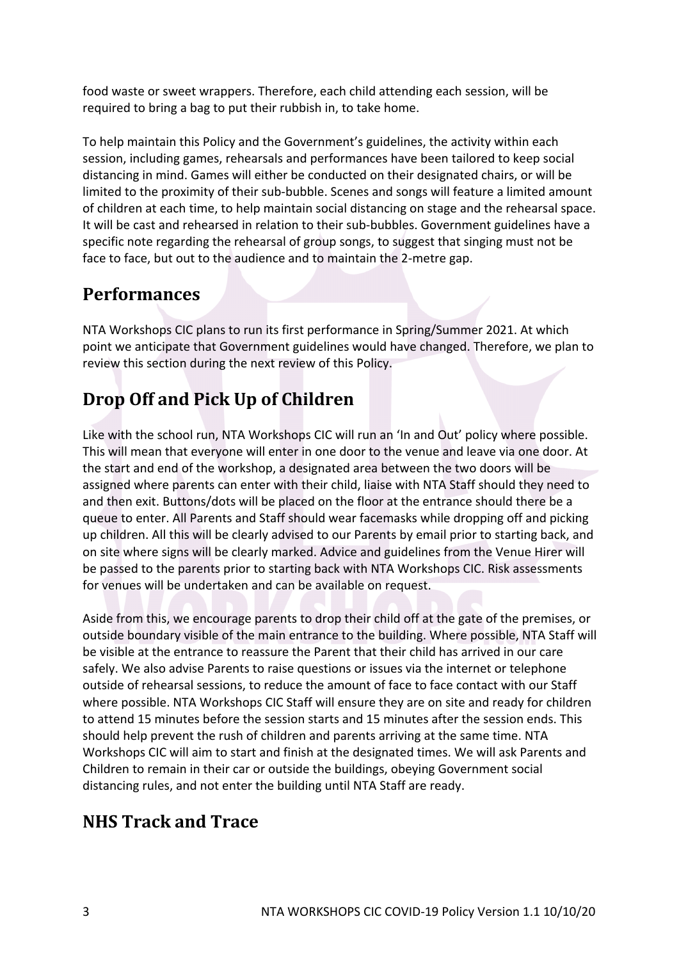food waste or sweet wrappers. Therefore, each child attending each session, will be required to bring a bag to put their rubbish in, to take home.

To help maintain this Policy and the Government's guidelines, the activity within each session, including games, rehearsals and performances have been tailored to keep social distancing in mind. Games will either be conducted on their designated chairs, or will be limited to the proximity of their sub-bubble. Scenes and songs will feature a limited amount of children at each time, to help maintain social distancing on stage and the rehearsal space. It will be cast and rehearsed in relation to their sub-bubbles. Government guidelines have a specific note regarding the rehearsal of group songs, to suggest that singing must not be face to face, but out to the audience and to maintain the 2-metre gap.

#### **Performances**

NTA Workshops CIC plans to run its first performance in Spring/Summer 2021. At which point we anticipate that Government guidelines would have changed. Therefore, we plan to review this section during the next review of this Policy.

# **Drop Off and Pick Up of Children**

Like with the school run, NTA Workshops CIC will run an 'In and Out' policy where possible. This will mean that everyone will enter in one door to the venue and leave via one door. At the start and end of the workshop, a designated area between the two doors will be assigned where parents can enter with their child, liaise with NTA Staff should they need to and then exit. Buttons/dots will be placed on the floor at the entrance should there be a queue to enter. All Parents and Staff should wear facemasks while dropping off and picking up children. All this will be clearly advised to our Parents by email prior to starting back, and on site where signs will be clearly marked. Advice and guidelines from the Venue Hirer will be passed to the parents prior to starting back with NTA Workshops CIC. Risk assessments for venues will be undertaken and can be available on request.

Aside from this, we encourage parents to drop their child off at the gate of the premises, or outside boundary visible of the main entrance to the building. Where possible, NTA Staff will be visible at the entrance to reassure the Parent that their child has arrived in our care safely. We also advise Parents to raise questions or issues via the internet or telephone outside of rehearsal sessions, to reduce the amount of face to face contact with our Staff where possible. NTA Workshops CIC Staff will ensure they are on site and ready for children to attend 15 minutes before the session starts and 15 minutes after the session ends. This should help prevent the rush of children and parents arriving at the same time. NTA Workshops CIC will aim to start and finish at the designated times. We will ask Parents and Children to remain in their car or outside the buildings, obeying Government social distancing rules, and not enter the building until NTA Staff are ready.

#### **NHS Track and Trace**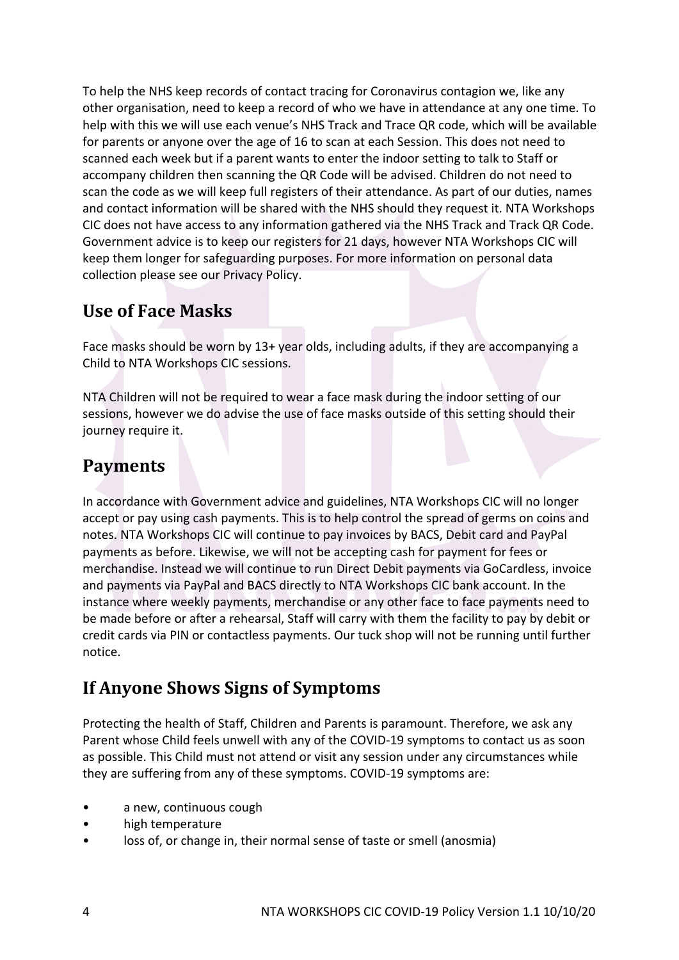To help the NHS keep records of contact tracing for Coronavirus contagion we, like any other organisation, need to keep a record of who we have in attendance at any one time. To help with this we will use each venue's NHS Track and Trace QR code, which will be available for parents or anyone over the age of 16 to scan at each Session. This does not need to scanned each week but if a parent wants to enter the indoor setting to talk to Staff or accompany children then scanning the QR Code will be advised. Children do not need to scan the code as we will keep full registers of their attendance. As part of our duties, names and contact information will be shared with the NHS should they request it. NTA Workshops CIC does not have access to any information gathered via the NHS Track and Track QR Code. Government advice is to keep our registers for 21 days, however NTA Workshops CIC will keep them longer for safeguarding purposes. For more information on personal data collection please see our Privacy Policy.

### **Use of Face Masks**

Face masks should be worn by 13+ year olds, including adults, if they are accompanying a Child to NTA Workshops CIC sessions.

NTA Children will not be required to wear a face mask during the indoor setting of our sessions, however we do advise the use of face masks outside of this setting should their journey require it.

### **Payments**

In accordance with Government advice and guidelines, NTA Workshops CIC will no longer accept or pay using cash payments. This is to help control the spread of germs on coins and notes. NTA Workshops CIC will continue to pay invoices by BACS, Debit card and PayPal payments as before. Likewise, we will not be accepting cash for payment for fees or merchandise. Instead we will continue to run Direct Debit payments via GoCardless, invoice and payments via PayPal and BACS directly to NTA Workshops CIC bank account. In the instance where weekly payments, merchandise or any other face to face payments need to be made before or after a rehearsal, Staff will carry with them the facility to pay by debit or credit cards via PIN or contactless payments. Our tuck shop will not be running until further notice.

## **If Anyone Shows Signs of Symptoms**

Protecting the health of Staff, Children and Parents is paramount. Therefore, we ask any Parent whose Child feels unwell with any of the COVID-19 symptoms to contact us as soon as possible. This Child must not attend or visit any session under any circumstances while they are suffering from any of these symptoms. COVID-19 symptoms are:

- a new, continuous cough
- high temperature
- loss of, or change in, their normal sense of taste or smell (anosmia)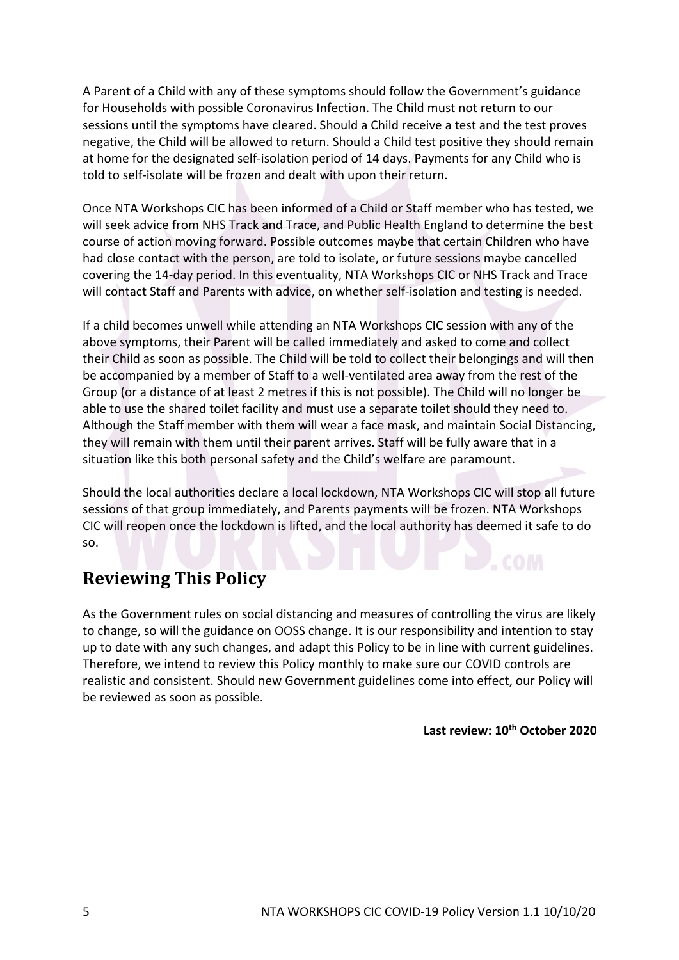A Parent of a Child with any of these symptoms should follow the Government's guidance for Households with possible Coronavirus Infection. The Child must not return to our sessions until the symptoms have cleared. Should a Child receive a test and the test proves negative, the Child will be allowed to return. Should a Child test positive they should remain at home for the designated self-isolation period of 14 days. Payments for any Child who is told to self-isolate will be frozen and dealt with upon their return.

Once NTA Workshops CIC has been informed of a Child or Staff member who has tested, we will seek advice from NHS Track and Trace, and Public Health England to determine the best course of action moving forward. Possible outcomes maybe that certain Children who have had close contact with the person, are told to isolate, or future sessions maybe cancelled covering the 14-day period. In this eventuality, NTA Workshops CIC or NHS Track and Trace will contact Staff and Parents with advice, on whether self-isolation and testing is needed.

If a child becomes unwell while attending an NTA Workshops CIC session with any of the above symptoms, their Parent will be called immediately and asked to come and collect their Child as soon as possible. The Child will be told to collect their belongings and will then be accompanied by a member of Staff to a well-ventilated area away from the rest of the Group (or a distance of at least 2 metres if this is not possible). The Child will no longer be able to use the shared toilet facility and must use a separate toilet should they need to. Although the Staff member with them will wear a face mask, and maintain Social Distancing, they will remain with them until their parent arrives. Staff will be fully aware that in a situation like this both personal safety and the Child's welfare are paramount.

Should the local authorities declare a local lockdown, NTA Workshops CIC will stop all future sessions of that group immediately, and Parents payments will be frozen. NTA Workshops CIC will reopen once the lockdown is lifted, and the local authority has deemed it safe to do so.

#### **Reviewing This Policy**

As the Government rules on social distancing and measures of controlling the virus are likely to change, so will the guidance on OOSS change. It is our responsibility and intention to stay up to date with any such changes, and adapt this Policy to be in line with current guidelines. Therefore, we intend to review this Policy monthly to make sure our COVID controls are realistic and consistent. Should new Government guidelines come into effect, our Policy will be reviewed as soon as possible.

#### **Last review: 10th October 2020**